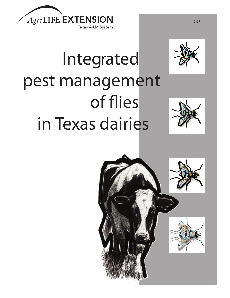



# Integrated pest management of flies in Texas dairies



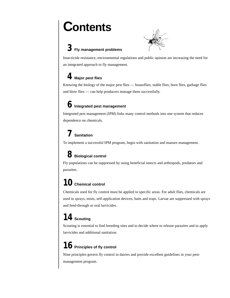# **Contents**



# *3* **Fly management problems**

Insecticide resistance, environmental regulations and public opinion are increasing the need for an integrated approach to fly management.

# *4* **Major pest flies**

Knowing the biology of the major pest flies — houseflies, stable flies, horn flies, garbage flies and blow flies — can help producers manage them successfully.

# *6* **Integrated pest management**

Integrated pest management (IPM) links many control methods into one system that reduces dependence on chemicals.

# *7* **Sanitation**

To implement a successful IPM program, begin with sanitation and manure management.

# *8* **Biological control**

Fly populations can be suppressed by using beneficial insects and arthropods, predators and parasites.

# *10* **Chemical control**

Chemicals used for fly control must be applied to specific areas. For adult flies, chemicals are used in sprays, mists, self-application devices, baits and traps. Larvae are suppressed with sprays and feed-through or oral larvicides.

# *14* **Scouting**

Scouting is essential to find breeding sites and to decide where to release parasites and to apply larvicides and additional sanitation.

# *16* **Principles of fly control**

Nine principles govern fly control in dairies and provide excellent guidelines in your pestmanagement program.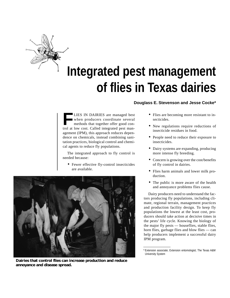

# **Integrated pest management of flies in Texas dairies**

**LIES IN DAIRIES** are managed best when producers coordinate several methods that together offer good control at low cost. Called integrated pest management (IPM), this approach reduces dependence on chemicals, instead combining sanitation practices, biological control and chemical agents to reduce fly populations.

The integrated approach to fly control is needed because:

• Fewer effective fly-control insecticides are available.



**Dairies that control flies can increase production and reduce annoyance and disease spread.**

#### **Douglass E. Stevenson and Jesse Cocke\***

- Flies are becoming more resistant to insecticides.
- New regulations require reductions of insecticide residues in food.
- People need to reduce their exposure to insecticides.
- Dairy systems are expanding, producing more intense fly breeding.
- Concern is growing over the cost/benefits of fly control in dairies.
- Flies harm animals and lower milk production.
- The public is more aware of the health and annoyance problems flies cause.

Dairy producers need to understand the factors producing fly populations, including climate, regional terrain, management practices and production facility design. To keep fly populations the lowest at the least cost, producers should take action at decisive times in the pests' life cycle. Knowing the biology of the major fly pests — houseflies, stable flies, horn flies, garbage flies and blow flies — can help producers implement a successful dairy IPM program.

<sup>\*</sup> Extension associate; Extension entomologist; The Texas A&M University System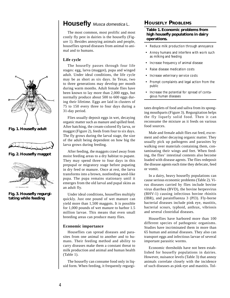

**Fig. 1. Housefly adult**



**Fig. 2. Housefly maggot**



**Fig. 3. Housefly regurgitating while feeding**

### **Housefly** Musca domestica L.

The most common, most prolific and most costly fly pest in dairies is the housefly (Figure 1). Besides annoying animals and people, houseflies spread diseases from animal to animal and to humans.

#### **Life cycle**

The housefly passes through four life stages: egg, larva (maggot), pupa and winged adult. Under ideal conditions, the life cycle may be as short as six days. In Texas, two to three generations may develop per month during warm months. Adult female flies have been known to lay more than 2,000 eggs, but normally produce about 500 to 600 eggs during their lifetime. Eggs are laid in clusters of 75 to 150 every three to four days during a 31-day period.

Flies usually deposit eggs in wet, decaying organic matter such as manure and spilled feed. After hatching, the cream-colored fly larva, or maggot (Figure 2), feeds from four to six days. The fly grows during the larval stage, the size of the adult being dependent on how big the larva grows during feeding.

After feeding, the maggots crawl away from moist feeding areas to a dry habitat to pupate. They may spend three to four days in this prepupal or migratory stage before pupating in dry feed or manure. Once at rest, the larva transforms into a brown, nonfeeding seed-like pupa. The pupa remains stationary until it emerges from the old larval and pupal skins as an adult fly.

Under ideal conditions, houseflies multiply quickly. Just one pound of wet manure can yield more than 1,500 maggots. It is possible for 1,000 pounds of wet manure to harbor 1.5 million larvae. This means that even small breeding areas can produce many flies.

#### **Economic importance**

Houseflies can spread diseases and parasites from one animal to another and to humans. Their feeding method and ability to carry diseases make them a constant threat to milk production and animal and human health (Table 1).

The housefly can consume food only in liquid form. When feeding, it frequently regurgi-

#### **HOUSEFLY PROBLEMS**

#### **Table 1. Economic problems from high housefly populations in dairy operations.**

- Reduce milk production through annoyance
- Annoy humans and interfere with work such as milking and feeding
- Increase frequency of animal disease
- Raise disease medication costs
- Increase veterinary service costs
- Prompt complaints and legal action from the public
- Increase the potential for spread of contagious human diseases

tates droplets of food and saliva from its sponging mouthparts (Figure 3). Regurgitation helps the fly liquefy solid food. Then it can reconsume the mixture as it feeds on various food sources.

Male and female adult flies eat feed, excrement and other decaying organic matter. They usually pick up pathogens and parasites by walking over materials containing them, contaminating their wings and feet. When feeding, the flies' intestinal contents also become loaded with disease agents. The flies redeposit the disease agents each time they defecate, feed or vomit.

In a dairy, heavy housefly populations can cause serious economic problems (Table 2). Virus diseases carried by flies include bovine virus diarrhea (BVD), the bovine herpesvirus (BHV-1) causing infectious bovine rhinitis (IBR), and parainfluenza 3 (PI3). Fly-borne bacterial diseases include pink eye, mastitis, bacterial scours, typhoid, anthrax, vibriosis and several clostridial diseases.

Houseflies have harbored more than 100 different species of pathogenic organisms. Studies have incriminated them in more than 65 human and animal diseases. They also can transport eggs and infectious larvae of several important parasitic worms.

Economic thresholds have not been established for housefly populations in dairies. However, nuisance levels (Table 3) that annoy animals correlate closely with the incidence of such diseases as pink eye and mastitis. Tol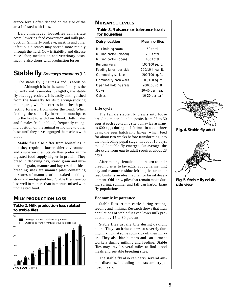erance levels often depend on the size of the area infested with flies.

Left unmanaged, houseflies can irritate cows, lowering feed conversion and milk production. Similarly pink eye, mastitis and other infectious diseases may spread more rapidly through the herd. Cow irritability and disease raise labor, medication and veterinary costs. Income also drops with production losses.

### **Stable fly** *Stomoxys calcitrans* (L.)

The stable fly (Figures 4 and 5) feeds on blood. Although it is in the same family as the housefly and resembles it slightly, the stable fly bites aggressively. It is easily distinguished from the housefly by its piercing-sucking mouthparts, which it carries in a sheath projecting forward from under the head. When feeding, the stable fly inserts its mouthparts into the host to withdraw blood. Both males and females feed on blood, frequently changing position on the animal or moving to other hosts until they have engorged themselves with blood.

Stable flies also differ from houseflies in that they require a looser, drier environment and a superior diet. Stable flies prefer an undigested food supply higher in protein. They breed in decaying hay, straw, grain and mixtures of grain, manure and hay residue. Ideal breeding sites are manure piles containing mixtures of manure, urine-soaked bedding, straw and undigested feed. Stable flies develop less well in manure than in manure mixed with undigested food.

#### **MILK PRODUCTION LOSS**

#### **Table 2. Milk production loss related to stable flies.**



Bruce & Decker, Illinois

#### **NUISANCE LEVELS**

| Table 3. Nuisance or tolerance levels<br>for houseflies |  |
|---------------------------------------------------------|--|
| Mean no. flies                                          |  |
| 50 total                                                |  |
| 200 total                                               |  |
| 400 total                                               |  |
| 100/100 sq. ft.                                         |  |
| 100/10 linear ft.                                       |  |
| 200/100 sq. ft.                                         |  |
| 100/100 sq. ft.                                         |  |
| 200/100 sq. ft                                          |  |
| 20-40 per head                                          |  |
| 10-20 per calf                                          |  |
|                                                         |  |

#### **Life cycle**

The female stable fly crawls into loose breeding material and deposits from 25 to 50 eggs at each egg-laying site. It may lay as many as 600 eggs during its lifetime. In about three days, the eggs hatch into larvae, which feed for about two weeks before transforming into the nonfeeding pupal stage. In about 10 days, the adult stable fly emerges. On average, the life cycle from egg to adult requires about 28 days.

After mating, female adults return to their breeding sites to lay eggs. Soggy, fermenting hay and manure residue left in piles or under feed bunks is an ideal habitat for larval development. Old straw piles that remain moist during spring, summer and fall can harbor large fly populations.

#### **Economic importance**

Stable flies irritate cattle during resting, feeding and milking. Research shows that high populations of stable flies can lower milk production by 15 to 30 percent.

Stable flies usually bite during daylight hours. They can irritate cows so severely during milking that some cows kick off their milkers. They also bite humans and can torment workers during milking and feeding. Stable flies may travel several miles to find blood meals and suitable breeding sites.

The stable fly also can carry several animal diseases, including anthrax and trypanosomiasis.



**Fig. 4. Stable fly adult**



**Fig. 5. Stable fly adult, side view**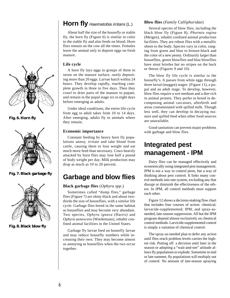

**Fig. 6. Horn fly**



**Fig. 7. Black garbage fly**



**Fig. 8. Black blow fly**

### **Horn fly** Haematobia irritans (L.)

About half the size of the housefly or stable fly, the horn fly (Figure 6) is similar in color to the stable fly and also feeds on blood. Horn flies remain on the cow all the times. Females leave the animal only to deposit eggs on fresh manure.

#### **Life cycle**

A horn fly lays eggs in groups of three to seven on the manure surface, rarely depositing more than 20 eggs. Larvae hatch within 24 hours. They develop rapidly, reaching complete growth in three to five days. Then they crawl to drier parts of the manure to pupate, and remain in the pupal stage six to eight days before emerging as adults.

Under ideal conditions, the entire life cycle from egg to adult takes from 10 to 14 days. After emerging, adults fly to animals where they remain.

#### **Economic importance**

Constant feeding by heavy horn fly populations annoy, irritate and take blood from cattle, causing them to lose weight and eat much more feed than necessary. Cows heavily attacked by horn flies may lose half a pound of body weight per day. Milk production may drop as much as 10 to 20 percent.

### **Garbage and blow flies**

#### **Black garbage flies** (*Ophyra spp.*)

Sometimes called "dump flies," garbage flies (Figure 7) are shiny black and about twothirds the size of houseflies, with a similar life cycle. Garbage flies breed in the same habitat as houseflies and may become very abundant. Two species, *Ophyra ignava* (Harris) and *Ophyra aenescens* (Wiedemann), inhabit confined animal facilities in the United States.

Garbage fly larvae feed on housefly larvae and may reduce housefly numbers while increasing their own. They may become almost as annoying as houseflies when the two occur together.

#### **Blow flies** (*Family Calliphoridae*)

Several species of blow flies, including the black blow fly (Figure 8), *Phormia regina* (Meigen), inhabit confined animal production facilities. They are robust flies with a metallic sheen to the body. Species vary in color, ranging from green and blue to bronze-black and the color of a new penny. Ordinarily larger than houseflies, green blowflies and blue blowflies have stout bristles but no stripes on the back or thorax (Figures 9 and 10).

The blow fly life cycle is similar to the housefly's. It passes from white eggs through three larval (maggot) stages (Figure 11), a pupal and an adult stage. To develop, however, blow flies require a wet medium and a diet rich in animal protein. They prefer to breed in decomposing animal carcasses, afterbirth and areas contaminated with spilled milk. Though less well, they can develop in decaying manure and spilled feed when other food sources are unavailable.

Good sanitation can prevent major problems with garbage and blow flies.

# **Integrated pest management - IPM**

Dairy flies can be managed effectively and economically using integrated pest management. IPM is not a way to control pests, but a way of thinking about pest control. It links many control methods into one system, excluding any that disrupt or diminish the effectiveness of the others. In IPM, all control methods must support each other.

Figure 12 shows a decision-making flow chart that includes four courses of action: chemical; larvacide-supplemented; IPM; and spray-asneeded, late-season suppression. All but the IPM program depend almost exclusively on chemical control methods. Larvicide-supplemented control is simply a variation of chemical control.

The spray-as-needed plan to defer any action until flies reach problem levels carries the highest risk. Putting off a decision until later in the season or adopting a "wait-and-see" attitude allows fly populations to explode. Sometime in mid or late summer, fly populations will multiply out of control. No amount of late-season spraying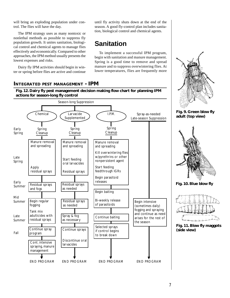will bring an exploding population under control. The flies will have the day.

The IPM strategy uses as many nontoxic or nonlethal methods as possible to suppress fly population growth. It unites sanitation, biological control and chemical agents to manage flies effectively and economically. Compared to other approaches, the IPM method usually presents the lowest expenses and risks.

Dairy fly IPM activities should begin in winter or spring before flies are active and continue until fly activity shuts down at the end of the season. A good fly-control plan includes sanitation, biological control and chemical agents.

# **Sanitation**

To implement a successful IPM program, begin with sanitation and manure management. Spring is a good time to remove and spread manure and to suppress overwintering flies. At lower temperatures, flies are frequently more

#### **INTEGRATED PEST MANAGEMENT - IPM**





**Fig. 9. Green blow fly adult (top view)**



**Fig. 10. Blue blow fly**



**Fig. 11. Blow fly maggots (side view)**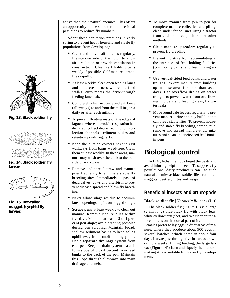

**Fig. 13. Black soldier fly**



**Fig. 14. Black soldier fly larvae**



**Fig. 15. Rat-tailed maggot (syrphid fly larvae)**

active than their natural enemies. This offers an opportunity to use short-term, nonresidual pesticides to reduce fly numbers.

Adopt these sanitation practices in early spring to prevent heavy housefly and stable fly populations from developing:

- Clean and move calf hutches regularly. Elevate one side of the hutch to allow air circulation or provide ventilation in construction. Clean calf holding pens weekly if possible. Calf manure attracts flies rapidly.
- At least weekly, clean open feeding lanes and concrete corners where the feed stall(s) curb meets the drive-through feeding lane slab.
- Completely clean entrance and exit lanes (alleyways) to and from the milking area daily or after each milking.
- To prevent floating mats on the edges of lagoons where anaerobic respiration has declined, collect debris from runoff collection channels, sediment basins and retention ponds regularly.
- Keep the outside corners next to exit walkways from barns weed-free. Clean them at least weekly. In these areas, manure may wash over the curb to the outside of walkways.
- Remove and spread straw and manure piles frequently to eliminate stable fly breeding sites. Immediately dispose of dead calves, cows and afterbirth to prevent disease spread and blow-fly breeding.
- Never allow silage residue to accumulate at openings to pits on bagged silage.
- **Scrape pens** at least weekly to clean out manure. Remove manure piles within five days. Maintain at least a **3 to 4 percent pen slope**; avoid creating potholes during pen scraping. Maintain broad, shallow sediment basins to keep solids uphill away from runoff holding ponds. Use a **separate drainage** system from each pen. Keep the drain system at a uniform slope of 3 to 4 percent from feed bunks to the back of the pen. Maintain this slope through alleyways into main drainage channels.
- To move manure from pen to pen for complete manure collection and piling, clean under **fence lines** using a tractor front-end mounted push bar or other methods.
- Clean **manure spreaders** regularly to prevent fly breeding.
- Prevent moisture from accumulating at the entrances of feed holding facilities (commodity barns) and feed mixing areas.
- Use vertical-sided feed bunks and water troughs. Prevent manure from building up in these areas for more than seven days. Use overflow drains on water troughs to prevent water from overflowing into pens and feeding areas; fix water leaks.
- Move round bale feeders regularly to prevent manure, urine and hay buildup that can breed stable flies. To prevent housefly and stable fly breeding, scrape, pile, remove and spread manure-straw mixtures and clean under elevated feed bunks in pens.

# **Biological control**

In IPM, lethal methods target the pests and avoid injuring helpful insects. To suppress fly populations, dairy producers can use such natural enemies as black soldier flies, rat-tailed maggots, beetles, mites and wasps.

### **Beneficial insects and arthropods**

#### **Black soldier fly** [*Hermetia illucens* (L.)]

The black soldier fly (Figure 13) is a large (2 cm long) blue-black fly with black legs, white-yellow tarsi (feet) and two clear or translucent areas on the dorsal part of its abdomen. Females prefer to lay eggs in drier areas of manure, where they produce about 900 eggs in several batches, which hatch in about four days. Larvae pass through five instars over two or more weeks. During feeding, the large larvae (Figure 14) churn and liquefy the manure, making it less suitable for house fly development.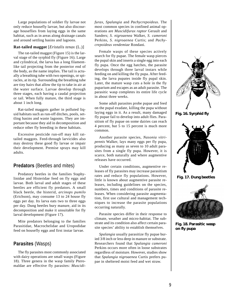Large populations of soldier fly larvae not only reduce housefly larvae, but also discourage houseflies from laying eggs in the same habitat, such as in areas along drainage canals and around settling basins and lagoons.

#### **Rat-tailed maggot** [*Eristalis tenax* (L.)]

The rat-tailed maggot (Figure 15) is the larval stage of the syrphid fly (Figure 16). Large and cylindrical, the larva has a long filamentlike tail projecting from the posterior end of the body, as the name implies. The tail is actually a breathing tube with two openings, or spiracles, at its tip. Surrounding the breathing tube are tiny hairs that allow the tip to take in air at the water surface. Larvae develop through three stages, each having a caudal projection or tail. When fully mature, the third stage is about 1 inch long.

Rat-tailed maggots gather in polluted liquid habitats such as run-off ditches, pools, settling basins and waste lagoons. They are important because they aid in decomposition and reduce other fly breeding in these habitats.

Excessive pesticide run-off may kill rattailed maggots. Feed-through larvicides also may destroy these good fly larvae or impair their development. Premise sprays may kill adults.

#### **Predators** (Beetles and mites)

Predatory beetles in the families Staphylinidae and Histeridae feed on fly eggs and larvae. Both larval and adult stages of these beetles are efficient fly predators. A small black beetle, the histerid, *arcinops pumilo* (Erichson), may consume 13 to 24 house fly eggs per day. Its larva eats two to three eggs per day. Dung beetles bury manure, aid in its decomposition and make it unsuitable for fly larval development (Figure 17).

Mite predators belonging to the families Parasitidae, Macrochelidae and Uropodidae feed on housefly eggs and first instar larvae.

#### **Parasites** (Wasps)

The fly parasites most commonly associated with dairy operations are small wasps (Figure 18). Three genera in the wasp family Pteromaldae are effective fly parasites: *Muscidi-* *furax*, *Spalangia* and *Pachycrepoideus*. The most common species in confined animal operations are *Muscidifurax raptor* Gerault and Sanders; *S. nigroaenea* Walker, *S. cameroni* Perkins, *S. nigroaenea* Curtis; and *Pachycrepoideus vendemiae* Rondani.

Female wasps of these species actively search for fly pupae. The female wasp pierces the pupal skin and inserts a single egg into each fly pupa. Once the egg hatches, the parasite develops through three larval instars while feeding on and killing the fly pupa. After feeding, the larva pupates inside fly pupal skin. Later, the mature wasp cuts a hole in the fly puparium and escapes as an adult parasite. The parasitic wasp completes its entire life cycle in about three weeks.

Some adult parasites probe pupae and feed on the pupal exudate, killing the pupa without laying eggs in it. As a result, many damaged fly pupae fail to develop into adult flies. Parasitism of fly pupae on some dairies can reach 4 percent, but 5 to 15 percent is much more common.

Another parasite species, *Nasonia vitripennis* Walker, lays many eggs per fly pupa, producing as many as seven to 10 adult parasites from a single fly pupa. However, it is scarce, both naturally and where augmentive releases have occurred.

Under certain conditions, augmentive releases of fly parasites may increase parasitism rates and reduce fly populations. However, little is known about augmentive parasite releases, including guidelines on the species, numbers, times and conditions of parasite releases. When considering parasite augmentation, first use cultural and management techniques to increase the parasite populations occurring naturally.

Parasite species differ in their response to climate, weather and micro-habitat. The substrate and its condition also affect certain parasite species' ability to establish themselves.

*Spalangia* usually parasitize fly pupae buried 3/8 inch or less deep in manure or substrate. Researchers found that *Spalangia cameroni* Perkins occurs more often in loose substrates regardless of moisture. However, studies show that *Spalangia nigroaenea* Curtis prefers pupae in sheltered moist feed and wet straw.



**Fig. 16. Syrphid fly**



**Fig. 17. Dung beetles**



**Fig. 18. Parasitic wasp on fly pupa**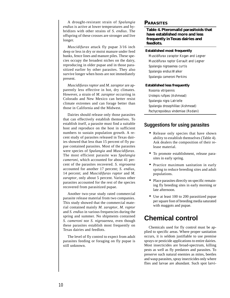A drought-resistant strain of *Spalangia endius* is active at lower temperatures and hybridizes with other strains of *S. endius*. The offspring of these crosses are stronger and live longer.

*Muscidifurax* attack fly pupae 3/16 inch deep or less in dry or moist manure under feed bunks, fence lines and manure piles. These species occupy the broadest niches on the dairy, reproducing in older pupae and in those parasitized earlier by other parasites. They also survive longer when hosts are not immediately present.

*Muscidifurax raptor* and *M. zaraptor* are apparently less effective in hot, dry climates. However, a strain of *M. zaraptor* occurring in Colorado and New Mexico can better resist climate extremes and can forage better than those in California and the Midwest.

Dairies should release only those parasites that can effectively establish themselves. To establish itself, a parasite must find a suitable host and reproduce on the host in sufficient numbers to sustain population growth. A recent study of parasites released in Texas dairies showed that less than 15 percent of fly pupae contained parasites. Most of the parasites were species of *Spalangia* and *Muscidifurax*. The most efficient parasite was *Spalangia cameroni*, which accounted for about 41 percent of the parasites recovered. *S. nigroaena* accounted for another 17 percent; *S. endius*, 14 percent; and *Muscidifurax raptor* and *M. zaraptor*, only about 5 percent. Various other parasites accounted for the rest of the species recovered from parasitized pupae.

Another two-year study rated commercial parasite release material from two companies. This study showed that the commercial material contained mainly *M. zaraptor*, *M. raptor* and *S. endius* in various frequencies during the spring and summer. No shipments contained *S. cameroni* nor *S. nigroaenea*, even though these parasites establish most frequently on Texas dairies and feedlots.

The level of fly control to expect from adult parasites feeding or foraging on fly pupae is still unknown.

#### **PARASITES**

**Table 4. Pteromalid parasitoids that have established more and less frequently in Texas dairies and feedlots.**

#### **Established most frequently**

*Muscidifurax zaraptor* Kogan and Legner *Muscidifurax raptor* Gerault and Legner *Spalangia nigroaenea* curtis *Spalangia endius* Walker *Spalangia cameroni* Perkins

#### **Established less frequently**

*Nasonia vitripennis Urolepis rufipes* (Ashmead) *Spalangia nigra* Latrielle *Spalangia drosophililae* (Ashmead) *Pachycrepoideus vindemiae* (Rodani)

#### **Suggestions for using parasites**

- Release only species that have shown ability to establish themselves (Table 4). Ask dealers the composition of their release material.
- To promote establishment, release parasites in early spring.
- Practice maximum sanitation in early spring to reduce breeding sites and adult populations.
- Place parasites directly on specific remaining fly breeding sites in early morning or late afternoon.
- Use at least 100 to 200 parasitized pupae per square foot of breeding media saturated with maggots and pupae.

## **Chemical control**

Chemicals used for fly control must be applied to specific areas. Where proper sanitation occurs, it is seldom justifiable to use premise sprays or pesticide applications to entire dairies. Most insecticides are broad-spectrum, killing pests as well as fly predators and parasites. To preserve such natural enemies as mites, beetles and wasp parasites, spray insecticides only where flies and larvae are abundant. Such spot larvi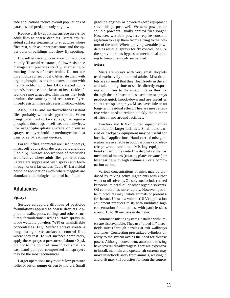cide applications reduce overall populations of parasites and predators only slightly.

Reduce drift by applying surface sprays for adult flies as coarse droplets. Direct any residual surface treatments to structures where flies rest, such as upper partitions and the upper parts of buildings that show fly spotting.

Houseflies develop resistance to insecticide rapidly. To avoid resistance, follow resistance management practices strictly, alternating or rotating classes of insecticides. Do not use pyrethroids consecutively. Alternate them with organophosphates or carbamates, but not with methoxychlor or other DDT-related compounds, because both classes of insecticide affect the same target site. This means they both produce the same type of resistance. Pyrethroid-resistant flies also resist methoxychlor.

Also, DDT- and methoxychlor-resistant flies probably will resist pyrethroids. When using pyrethroid surface sprays, use organophosphate dust bags or self-treatment devices. For organophosphate surface or premise sprays, use pyrethroid or methoxychlor dust bags or self-treatment devices.

For adult flies, chemicals are used in sprays, mists, self-application devices, baits and traps (Table 5). Surface applications of pesticides are effective where adult flies gather or rest. Larvae are suppressed with sprays and feedthrough or oral larvacides (Table 6). Larvicidal pesticide applications work where maggots are abundant and biological control has failed.

#### **Adulticides**

#### **Sprays**

Surface sprays are dilutions of pesticide formulations applied as coarse droplets. Applied to walls, posts, ceilings and other structures, formulations used as surface sprays include wettable powders (WP) or emulsifiable concentrates (EC). Surface sprays create a long-lasting toxic surface to control flies where they rest. To wet surfaces completely, apply these sprays at pressures of about 40 psi, but not to the point of run-off. For small areas, hand-pumped compressed air sprayers may be the most economical.

Larger operations may require low-pressure roller or piston pumps driven by motors. Small

gasoline engines or power-takeoff equipment serve this purpose well. Wettable powders or soluble powders usually control flies longer. However, wettable powders require constant agitation to keep them from settling to the bottom of the tank. When applying wettable powders as residual sprays for fly control, be sure the spray tank has bypass or mechanical mixing to keep chemicals suspended.

#### **Mists**

Mists are sprays with very small droplets used exclusively to control adults. Mist droplets are so small that they float freely in the air and take a long time to settle, directly exposing adult flies to the insecticide as they fly through the air. Insecticides used in mist sprays produce quick knock-down and are useful as short-term space sprays. Mists have little or no long-term residual effect. They are most effective when used to reduce quickly the number of flies in and around facilities.

Tractor- and R.V.-mounted equipment is available for larger facilities. Small hand-carried or backpack equipment may be useful for localized applications. Hand-carried mist generators are available in both gasoline- and electric-powered versions. Misting equipment breaks insecticides into fine droplets either by mechanical means (rotating plates or vanes) or by shearing with high volume air or a combination action.

Various concentrations of mists may be produced by mixing active ingredients with either water or oil solvents. Oil solvents include refined kerosene, mineral oil or other organic solvents. Oil controls flies more rapidly. However, petroleum products may irritate animals or present a fire hazard. Ultra low volume (ULV) application equipment produces mists with undiluted high concentration formulations, with particle sizes around 15 to 30 microns in diameter.

Automatic misting systems installed with timers are also available. They use "piped-in" insecticide mixes through nozzles at exit walkways and lanes. Connecting pressurized cylinders directly to the system avoids the need for electric power. Although convenient, automatic misting have several disadvantages: They are expensive to install, maintain and operate; air currents may move insecticide away from animals, wasting it; and drift may kill parasites far from the source.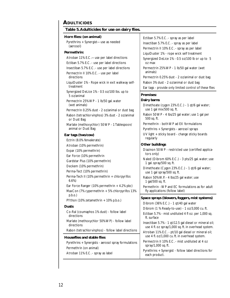#### **ADULTICIDES**

| Table 5. Adulticides for use on dairy flies.                                                  |                                                                                                          |
|-----------------------------------------------------------------------------------------------|----------------------------------------------------------------------------------------------------------|
| Horn flies: (on animal)                                                                       | Ectiban 5.7% E.C. - spray as per label                                                                   |
| Pyrethrins + Synergist-use as needed                                                          | Insectiban 5.7% E.C. - spray as per label                                                                |
| (aerosol)                                                                                     | Permectrin II 10% E.C. - spray as per label                                                              |
| Permethrin:                                                                                   | LiquiDuster 1% - rope wick self treatment                                                                |
| Atroban 11% E.C.-use per label directions                                                     | Synergized DeLice 1% - 0.5 oz/100 lb or up to 5                                                          |
| Ectiban 5.7% E.C. - use per label directions                                                  | oz max                                                                                                   |
| Insectiban 5.7% E.C. - use per label directions                                               | Permectrin 25% WP - 1 lb/50 gal water (wet                                                               |
| Permectrin II 10% E.C. - use per label                                                        | animals)                                                                                                 |
| directions                                                                                    | Permectrin 0.25% dust - 2 oz/animal or dust bag                                                          |
| LiquiDuster 1% - Rope wick in exit walkway self-                                              | Rabon 3% dust - 2 oz/animal or dust bag                                                                  |
| treatment                                                                                     | Ear tags - provide only limited control of these flies                                                   |
| Synergized DeLice 1% - 0.5 oz/100 lbs. up to<br>5 oz/animal                                   | Premises:                                                                                                |
| Permectrin 25% WP - 1 lb/50 gal. water                                                        | Dairy barns                                                                                              |
| (wet animals)                                                                                 | Dimethoate (cygon 23% E.C.) - 1 qt/6 gal water;                                                          |
| Permectrin 0.25% dust - 2 oz/animal or dust bag                                               | use 1 gal mix/500 sq. ft.                                                                                |
| Rabon (tetrachlorvinphos) 3% dust - 2 oz/animal                                               | Rabon 50 WP - 4 lbs/25 gal water; use 1 gal per                                                          |
| or Dust Bag                                                                                   | 500 sq. ft.                                                                                              |
| Marlate (methoxychlor) 50 WP - 1 Tablespoon/                                                  | Permethrin - both WP ad EX formulations                                                                  |
| animal or Dust Bag                                                                            | Pyrethrins + Synergists - aerosol sprays                                                                 |
| Ear tags (two/cow)                                                                            | UV light + sticky board - change sticky boards                                                           |
| Ectrin (8.0% fenvalerate)                                                                     | regularly                                                                                                |
| Atroban (10% permethrin)                                                                      | Other buildings                                                                                          |
|                                                                                               |                                                                                                          |
| Expar (10% permethrin)                                                                        | Diazinon 50 WP - restricted use (certified applica-                                                      |
| Ear Force (10% permethrin                                                                     | tors only)                                                                                               |
| Gardstar Plus (10% permethrin)                                                                | Naled (Dibrom 60% E.C.) - 3 pts/25 gal. water; use                                                       |
| Deckem (10% permethrin)                                                                       | 1 gal. spray/500 sq. ft.                                                                                 |
| Perma-Tect (10% permethrin)                                                                   | Dimethoate (Cygon 23% E.C.) - 1 qt/6 gal water;                                                          |
| Perma-Tech II (10% permethrin + chlorpyrifos                                                  | use 1 gal spray/500 sq. ft.                                                                              |
| 6.6%                                                                                          | Rabon 50% W.P. - 4 lbs/25 gal water; use                                                                 |
| Ear Force Ranger (10% permethrin + 4.2% pbc)<br>MaxCon (7% cypermethrin + 5% chlorpyrifos 13% | 1 gal/500 sq. ft.<br>Permethrin - WP and EC formulations as for adult<br>fly applications (follow label) |
| p.b.o.                                                                                        | Space sprays (blowers, foggers, mist systems)                                                            |
| PYthon (10% zetamethrin + 10% p.b.o.)                                                         | Dibrom (36% E.C.) - 1 qt/40 gal water                                                                    |
| <b>Dusts</b>                                                                                  | Dibrom (1 % Ready-to-use) - 1 oz/3,000 cu. ft.                                                           |
| Co-Ral (coumaphos 1% dust) - follow label                                                     | Ectiban 5.7% - mist undiluted 4 fl oz. per 1,000 sq.                                                     |
| directions                                                                                    | ft. surface                                                                                              |
| Marlate (methoxychlor 50% WP) - follow label                                                  | Insectiban 5.7% - 1 qt/12.5 gal diesel or mineral oil;                                                   |
| directions                                                                                    | use 4 fl. oz spray/1,000 sq. ft. in overhead system.                                                     |
| Rabon (tetrachlorvinphos) - follow label directions                                           | Atroban 11% E.C. - pt/10 gal diesel or mineral oil;                                                      |
| <b>Houseflies and stable flies</b>                                                            | use 4 fl. oz/1,000 cu. ft. in overhead system.                                                           |
| Pyrethrins + Synergists - aerosol spray formulations                                          | Permectrin II 10% E.C. - mist undiluted at 4 oz                                                          |
| Permethrin (on animal)                                                                        | spray/1,000 sq. ft.                                                                                      |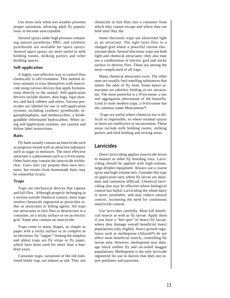Use mists only when wet weather prevents proper sanitation, allowing adult fly populations to become unacceptable.

Aerosol sprays under high pressure containing natural pyrethrins, PBO, and synthetic pyrethroids are available for space sprays. Aerosol space sprays are most useful in milk holding rooms, milking parlors and other building spaces.

#### **Self-application**

A highly cost-effective way to control flies chemically is self-treatment. This method allows animals to treat themselves with insecticide using various devices that apply formulations directly to the animal. Self-application devices include dusters, dust bags, liqui-dusters, and back rubbers and oilers. Various pesticides are labeled for use in self-application systems, including synthetic pyrethroids, organophosphates, and methoxychlor, a biodegradable chlorinated hydrocarbon. When using self-application systems, use caution and follow label instructions.

#### **Baits**

Fly baits usually contain an insecticide such as propoxur mixed with an attractive substance such as sugar or molasses. The most effective attractant is a pheromone such as z-9-tricosene. Other baits may contain the insecticide trichlorfon. Users also can prepare their own mixtures, but results from homemade baits may be somewhat erratic.

#### **Traps**

Traps are mechanical devices that capture and kill flies. Although properly belonging in a section outside chemical control, most traps involve chemicals registered as pesticides either as attractants or killing agents. All traps use attractants to lure flies to destruction in a container, on a sticky surface or on an electric grid. Some also contain an insecticide.

Traps come in many shapes, as simple as paper with a sticky surface or as complex as an electronic fly "zapper." Among the simplest and oldest traps are fly strips or fly paper, which have been used for more than a hundred years.

Container traps, variations of the old-fashioned bottle trap, are almost as old. They use chemicals to lure flies into a container from which they cannot escape and where they are held until they die.

Some electronic traps use ultraviolet light as an attractant. The light lures flies to a charged grid where a powerful current electrocutes them. Several electronic traps use both light and chemical attractants; they also may use a combination of electric grid and sticky surface to destroy flies. These are among the most complicated of all traps.

Many chemical attractants exist. The older ones are usually foul-smelling substances that mimic the odor of fly food. Some newer attractants are odorless feeding or sex attractants. The most powerful is z-9-tricosene, a sex and aggregation pheromone of the housefly. Used in most modern traps, z-9-tricosene has the common name Muscamone®.

 Traps are useful where chemical use is difficult or impossible, or where residual sprays or mists are ineffective or inconvenient. These areas include milk holding rooms, milking parlors and feed holding and mixing areas.

#### **Larvicides**

Direct larviciding applies insecticide mixes to manure or other fly breeding sites. Larviciding should be applied with high-volume, large-droplet equipment. Always use a coarse spray and high-volume mix. Consider this type of application only where fly larvae are abundant and sanitation difficult. Chemical larviciding also may be effective where biological control has failed. Larviciding the whole dairy is never justifiable, and may reduce natural control, increasing the need for continuous insecticide control.

Use larvicides carefully. Most kill beneficial insects as well as fly larvae. Apply them if you have a "hot spot" of heavy fly larvae, where they damage overall beneficial insect populations only slightly. Insect growth regulators such as methoprene (Altozid®) do not affect most beneficial insects, controlling fly larvae only. However, methoprene may damage black soldier fly and rat-tailed maggot populations. Methoprene is the only larvicide registered for use in dairies that does not injure predators and parasites.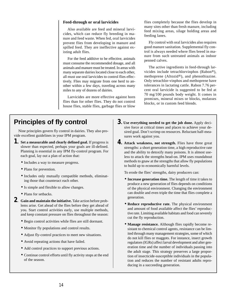#### **Feed-through or oral larvicides**

Also available are feed and mineral larvicides, which can reduce fly breeding in manure and feed waste. When fed, oral larvicides prevent flies from developing in manure and spilled feed. They are ineffective against existing adult flies.

For the feed additive to be effective, animals must consume the recommended dosage, and all animals and manure must be treated. In areas with many separate dairies located close to each other, all must use oral larvicides to control flies effectively. Flies may migrate from one herd to another within a few days, traveling across many miles to any of dozens of dairies.

Larvicides are more effective against horn flies than for other flies. They do not control house flies, stable flies, garbage flies or blow flies completely because the flies develop in many sites other than fresh manure, including feed mixing areas, silage holding areas and feeding lanes.

Fly control with oral larvicides also requires good manure sanitation. Supplemental fly control is always needed where flies breed in manure from such untreated animals as indoor penned calves.

The active ingredients in feed-through larvicides include tetrachlorvinphos (Rabon®), methoprene (Altozid®), and phenothiazine. Only tetrachlor-vinphos and methoprene have tolerances in lactating cattle. Rabon 7.76 percent oral larvicide is suggested to be fed at 70 mg/100 pounds body weight. It comes in premixes, mineral mixes or blocks, molasses blocks, or in custom feed blends.

# **Principles of fly control**

Nine principles govern fly control in dairies. They also provide excellent guidelines in your IPM program.

- *1***. Set a measurable and clearly defined goal.** If progress is slower than expected, perhaps your goals are ill-defined. Planning is essential in any IPM fly-control program. For each goal, lay out a plan of action that:
	- Includes a way to measure progress.
	- Plans for prevention.
	- Includes only mutually compatible methods, eliminating those that counteract each other.
	- Is simple and flexible to allow changes.
	- Plans for setbacks.
- *2***. Gain and maintain the initiative.** Take action before problems arise. Get ahead of the flies before they get ahead of you. Start control activities early, use multiple methods, and keep constant pressure on flies throughout the season:
	- Begin control activities while flies are still dormant.
	- Monitor fly populations and control results.
	- Adjust fly-control practices to meet new situations.
	- Avoid repeating actions that have failed.
	- Add control practices to support previous actions.
	- Continue control efforts until fly activity stops at the end of the season.
- *3***. Use everything needed to get the job done.** Apply decisive force at critical times and places to achieve your desired goal. Don't scrimp on resources. Reluctant half-measures work against you.
- *4***. Attack weakness, not strength.** Flies have three great strengths: a short generation time, a high reproductive rate and the ability to detoxify many poisons. It is almost useless to attack the strengths head-on. IPM uses roundabout methods to gnaw at the strengths that allow fly populations to build up to economically harmful levels.

To erode the flies' strengths, dairy producers can:

- **Increase generation time.** The length of time it takes to produce a new generation of flies depends on conditions of the physical environment. Changing the environment can double and even triple the time that flies complete a generation.
- **Reduce reproductive rate.** The physical environment and amount of food available affect the flies' reproductive rate. Limiting available habitats and food can severely cut the fly reproduction.
- **Manage resistance.** Although flies rapidly become resistant to chemical control agents, resistance can be limited through many management strategies, some of which do not kill flies or maggots. For instance, insect growth regulators (IGRs) affect larval development and alter generation time and the number of individuals passing into the adult stage. This strategy preserves a large proportion of insecticide-susceptible individuals in the population and reduces the number of resistant adults reproducing in a succeeding generation.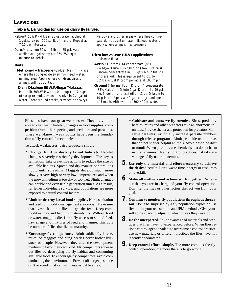#### **LARVICIDES**

| Table 6. Larvicides for use on dairy fly larvae.                                                                                                                                                                                                                                                                                                                                                      |                                                                                                                                                                                                                                                                                                                                                                                                                                                                                                                             |
|-------------------------------------------------------------------------------------------------------------------------------------------------------------------------------------------------------------------------------------------------------------------------------------------------------------------------------------------------------------------------------------------------------|-----------------------------------------------------------------------------------------------------------------------------------------------------------------------------------------------------------------------------------------------------------------------------------------------------------------------------------------------------------------------------------------------------------------------------------------------------------------------------------------------------------------------------|
| Rabon <sup>®</sup> 50WP - 4 lbs in 25 gal. water applied at<br>1 gal. spray per 100 sq. ft. of manure. Repeat at<br>7-10 day intervals.<br>D.z.n. <sup>®</sup> diazinon 50W - 4 lbs. in 25 gal. water                                                                                                                                                                                                 | windows and other areas where flies congre-<br>gate; do not contaminate milk, feed, water or<br>apply where animals may consume.                                                                                                                                                                                                                                                                                                                                                                                            |
| applied at 1 gal. spray per 350-750 sq. ft.<br>manure or debris.                                                                                                                                                                                                                                                                                                                                      | Ultra low volume (ULV) applications<br>(nuisance flies)                                                                                                                                                                                                                                                                                                                                                                                                                                                                     |
| <b>Baits</b><br>Methomyl + tricosene (Golden Malrin) - Place<br>where flies congregate away from feed, water,<br>milking area. Apply where children, birds or<br>animals will not contact.<br>D.z.n. Diazinon 50 W.P./Sugar/Molasses -<br>Mix $1/2$ lb. 50% W.P. with 1.0 lb. sugar or 2 cups<br>of syrup or molasses and dissolve in 21/2 gal. of<br>water. Treat around cracks, crevices, doorways, | Aerial: Dibrom <sup>®</sup> 14 concentrate (85%<br>Naled)—Dilute 100-230 fl oz (3/4-1 3/4 gals)<br>Dibrom concentrate in 100 gals. No. 2 fuel oil<br>or diesel oil. This is equivalent to 0.1 to<br>0.2 lbs. actual Dibrom per acre at 100 m.p.h.<br><b>Ground</b> (Thermal Fog): Dibrom <sup>®</sup> concentrate<br>(85% Naled) I-Dilute 1 gal. Dibrom to 99 gals.<br>No. 2 fuel oil or diesel oil or 13 oz. Dibrom to<br>10 gals. oil. Apply at 40 gal/hr. at ground speed<br>of 5 m.p.h. with swath of 300-400 ft. wide. |

Flies also have four great weaknesses: They are vulnerable to changes in habitat, changes in food supplies, competition from other species, and predators and parasites. These well-known weak points have been the foundation of fly control for centuries.

To attack weaknesses, dairy producers should:

- **Change, limit or destroy larval habitats.** Habitat changes severely restrict fly development. The key is sanitation. Take preventive actions to reduce the size of available habitats. Spread and dry manure or store it as liquid until spreading. Maggots develop much more slowly at very high or very low temperatures and when the growth medium is too dry or too wet. Slight changes can double and even triple generation times. As a result, far fewer individuals survive, and populations are more exposed to natural control factors.
- **Limit or destroy larval food supplies.** Here, sanitation and feed commodity management are crucial. Make sure that livestock — not flies — get the feed. Keep commodities, hay and bedding materials dry. Without food or water, maggots die. Limit fly access to spilled feed, hay, silage and mixtures of feed and manure. This cuts he number of flies that live to maturity.
- **Encourage fly competitors.** Adult soldier fly larvae, rat-tailed maggots and dung beetles never bother livestock or people. However, they alter the development medium to favor their own kind. Fly competitors squeeze out flies by destroying the fly habitat and consuming available food. To encourage fly competitors, avoid contaminating their environment. Prevent off-target pesticide drift or runoff that can kill these valuable allies.
- **Cultivate and conserve fly enemies.** Birds, predatory beetles, mites and other predators take an enormous toll on flies. Provide shelter and protection for predators. Conserve parasites. Artificially increase parasite numbers through release programs. Limit pesticide use to areas that do not shelter helpful animals. Avoid pesticide drift or runoff. When possible, use chemicals that do not harm natural enemies. Use fly control practices that take advantage of fly natural enemies.
- *5***. Use only the material and effort necessary to achieve the desired result.** Don't waste time, energy or resources on overkill.
- *6***. Make all methods and actions work together.** Remember that you are in charge of your fly-control operation. Don't let the flies or other factors distract you from your goal.
- *7***. Continue to monitor fly populations throughout the season.** Don't be surprised by a fly population explosion. Be flexible in your use of time and IPM methods. Give yourself some space to adjust to situations as they develop.
- *8***. Do the unexpected.** Take advantage of materials and practices that flies have not experienced before. When flies resist a control agent or adapt to overcome a control practice, use new materials or different practices the flies have not recently encountered.
- *9***. Keep control efforts simple.** The more complex the flycontrol operation, the more there is to go wrong.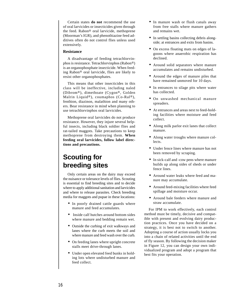Certain states **do not** recommend the use of oral larvicides or insecticides given through the feed. Rabon® oral larvicide, methoprene (Moorman's IGR), and phenothiazine feed additives often do not control flies unless used extensively.

#### **Resistance**

A disadvantage of feeding tetrachlorvinphos is resistance. Tetrachlorvinphos (Rabon®) is an organophosphate insecticide. When feeding Rabon® oral larvicide, flies are likely to resist other organophosphates.

This means that other insecticides in this class will be ineffective, including naled (Dibrom®), dimethoate (Cygon®, Golden Malrin Liquid®), coumaphos (Co-Ral®), fenthion, diazinon, malathion and many others. Bear resistance in mind when planning to use tetrachlorvinphos oral larvicides.

Methoprene oral larvicides do not produce resistance. However, they injure several helpful insects, including black soldier flies and rat-tailed maggots. Take precautions to keep methoprene from destroying them. **When feeding oral larvicides, follow label directions and precautions.**

## **Scouting for breeding sites**

Only certain areas on the dairy may exceed the nuisance or tolerance levels of flies. Scouting is essential to find breeding sites and to decide where to apply additional sanitation and larvicides and where to release parasites. Check breeding media for maggots and pupae in these locations:

- In poorly drained cattle guards where manure and feed accumulates.
- Inside calf hutches around bottom sides where manure and bedding remain wet.
- Outside the curbing of exit walkways and lanes where the curb meets the soil and where manure and feed wash over the curb.
- On feeding lanes where upright concrete stalls meet drive-through lanes.
- Under open elevated feed bunks in holding lots where undisturbed manure and feed collect.
- In manure wash or flush canals away from free stalls where manure gathers and remains wet.
- In settling basins collecting debris alongside; at entrances and exits from basins.
- On excess floating mats on edges of lagoons where anaerobic respiration has declined.
- Around solid separators where manure accumulates and remains undisturbed.
- Around the edges of manure piles that have remained unmoved for 10 days.
- In entrances to silage pits where water has collected.
- On unwashed mechanical manure spreaders.
- At entrances and areas next to feed-holding facilities where moisture and feed collect.
- Along milk parlor exit lanes that collect manure.
- Along water troughs where manure collects.
- Under fence lines where manure has not been removed by scraping.
- In sick-calf and -cow pens where manure builds up along sides of sheds or under fence lines.
- Around water leaks where feed and manure may accumulate.
- Around feed-mixing facilities where feed spillage and moisture occur.
- Around bale feeders where manure and straw accumulate.

For IPM to work effectively, each control method must be timely, decisive and compatible with present and evolving dairy production practices. Once you have decided on a strategy, it is best not to switch to another. Adopting a course of action usually locks you into a chain of related activities until the end of fly season. By following the decision maker in Figure 12, you can design your own individualized program and adopt a program that best fits your operation.